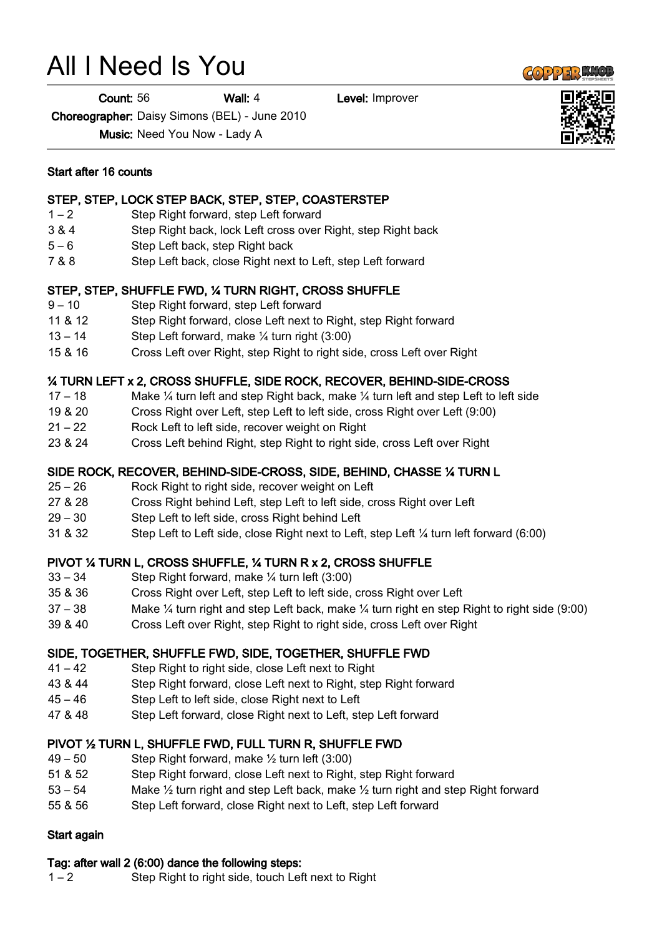# All I Need Is You

**Count: 56 Wall: 4** Level: Improver

Choreographer: Daisy Simons (BEL) - June 2010

Music: Need You Now - Lady A

#### Start after 16 counts

#### STEP, STEP, LOCK STEP BACK, STEP, STEP, COASTERSTEP

- 1 2 Step Right forward, step Left forward
- 3 & 4 Step Right back, lock Left cross over Right, step Right back
- 5 6 Step Left back, step Right back
- 7 & 8 Step Left back, close Right next to Left, step Left forward

# STEP, STEP, SHUFFLE FWD, ¼ TURN RIGHT, CROSS SHUFFLE

- 9 10 Step Right forward, step Left forward
- 11 & 12 Step Right forward, close Left next to Right, step Right forward
- $13 14$  Step Left forward, make  $\frac{1}{4}$  turn right (3:00)
- 15 & 16 Cross Left over Right, step Right to right side, cross Left over Right

# ¼ TURN LEFT x 2, CROSS SHUFFLE, SIDE ROCK, RECOVER, BEHIND-SIDE-CROSS

- 17 18 Make  $\frac{1}{4}$  turn left and step Right back, make  $\frac{1}{4}$  turn left and step Left to left side
- 19 & 20 Cross Right over Left, step Left to left side, cross Right over Left (9:00)
- 21 22 Rock Left to left side, recover weight on Right
- 23 & 24 Cross Left behind Right, step Right to right side, cross Left over Right

# SIDE ROCK, RECOVER, BEHIND-SIDE-CROSS, SIDE, BEHIND, CHASSE ¼ TURN L

- 25 26 Rock Right to right side, recover weight on Left
- 27 & 28 Cross Right behind Left, step Left to left side, cross Right over Left
- 29 30 Step Left to left side, cross Right behind Left
- 31 & 32 Step Left to Left side, close Right next to Left, step Left ¼ turn left forward (6:00)

# PIVOT ¼ TURN L, CROSS SHUFFLE, ¼ TURN R x 2, CROSS SHUFFLE

- 33 34 Step Right forward, make ¼ turn left (3:00)
- 35 & 36 Cross Right over Left, step Left to left side, cross Right over Left
- 37 38 Make ¼ turn right and step Left back, make ¼ turn right en step Right to right side (9:00)
- 39 & 40 Cross Left over Right, step Right to right side, cross Left over Right

# SIDE, TOGETHER, SHUFFLE FWD, SIDE, TOGETHER, SHUFFLE FWD

- 41 42 Step Right to right side, close Left next to Right
- 43 & 44 Step Right forward, close Left next to Right, step Right forward
- 45 46 Step Left to left side, close Right next to Left
- 47 & 48 Step Left forward, close Right next to Left, step Left forward

# PIVOT ½ TURN L, SHUFFLE FWD, FULL TURN R, SHUFFLE FWD

- $49 50$  Step Right forward, make  $\frac{1}{2}$  turn left (3:00)
- 51 & 52 Step Right forward, close Left next to Right, step Right forward
- 53 54 Make ½ turn right and step Left back, make ½ turn right and step Right forward
- 55 & 56 Step Left forward, close Right next to Left, step Left forward

# Start again

# Tag: after wall 2 (6:00) dance the following steps:

1 – 2 Step Right to right side, touch Left next to Right